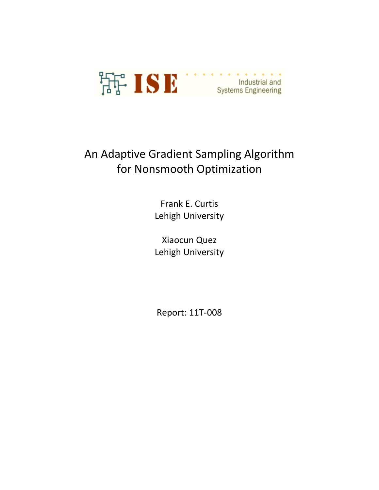

# An Adaptive Gradient Sampling Algorithm for Nonsmooth Optimization

Frank E. Curtis Lehigh University

Xiaocun Quez Lehigh University

Report: 11T-008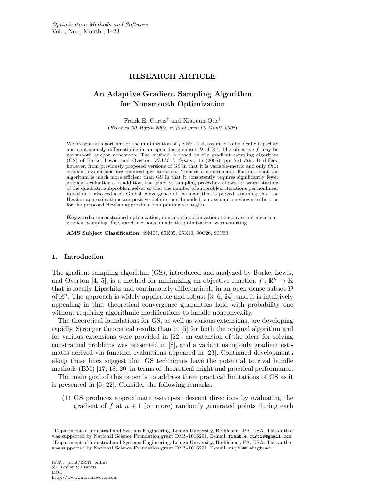# RESEARCH ARTICLE

# An Adaptive Gradient Sampling Algorithm for Nonsmooth Optimization

Frank E. Curtis† and Xiaocun Que‡ (Received 00 Month 200x; in final form 00 Month 200x)

We present an algorithm for the minimization of  $f : \mathbb{R}^n \to \mathbb{R}$ , assumed to be locally Lipschitz and continuously differentiable in an open dense subset  $\mathcal D$  of  $\mathbb R^n$ . The objective f may be nonsmooth and/or nonconvex. The method is based on the gradient sampling algorithm (GS) of Burke, Lewis, and Overton [SIAM J. Optim., 15 (2005), pp. 751-779]. It differs, however, from previously proposed versions of GS in that it is variable-metric and only  $O(1)$ gradient evaluations are required per iteration. Numerical experiments illustrate that the algorithm is much more efficient than GS in that it consistently requires significantly fewer gradient evaluations. In addition, the adaptive sampling procedure allows for warm-starting of the quadratic subproblem solver so that the number of subproblem iterations per nonlinear iteration is also reduced. Global convergence of the algorithm is proved assuming that the Hessian approximations are positive definite and bounded, an assumption shown to be true for the proposed Hessian approximation updating strategies.

Keywords: unconstrained optimization, nonsmooth optimization, nonconvex optimization, gradient sampling, line search methods, quadratic optimization, warm-starting

AMS Subject Classification: 49M05, 65K05, 65K10, 90C26, 90C30

# 1. Introduction

The gradient sampling algorithm (GS), introduced and analyzed by Burke, Lewis, and Overton [4, 5], is a method for minimizing an objective function  $f : \mathbb{R}^n \to \mathbb{R}$ that is locally Lipschitz and continuously differentiable in an open dense subset  $\mathcal D$ of  $\mathbb{R}^n$ . The approach is widely applicable and robust [3, 6, 24], and it is intuitively appealing in that theoretical convergence guarantees hold with probability one without requiring algorithmic modifications to handle nonconvexity.

The theoretical foundations for GS, as well as various extensions, are developing rapidly. Stronger theoretical results than in [5] for both the original algorithm and for various extensions were provided in [22], an extension of the ideas for solving constrained problems was presented in [8], and a variant using only gradient estimates derived via function evaluations appeared in [23]. Continued developments along these lines suggest that GS techniques have the potential to rival bundle methods (BM) [17, 18, 20] in terms of theoretical might and practical performance.

The main goal of this paper is to address three practical limitations of GS as it is presented in [5, 22]. Consider the following remarks.

(1) GS produces approximate  $\epsilon$ -steepest descent directions by evaluating the gradient of f at  $n+1$  (or more) randomly generated points during each

<sup>†</sup>Department of Industrial and Systems Engineering, Lehigh University, Bethlehem, PA, USA. This author was supported by National Science Foundation grant DMS-1016291. E-mail: frank.e.curtis@gmail.com ‡Department of Industrial and Systems Engineering, Lehigh University, Bethlehem, PA, USA. This author was supported by National Science Foundation grant DMS-1016291. E-mail: xiq209@lehigh.edu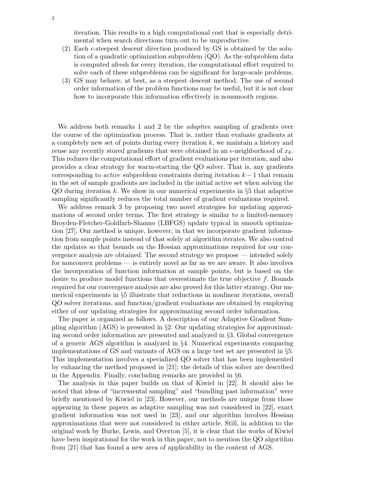iteration. This results in a high computational cost that is especially detrimental when search directions turn out to be unproductive.

- (2) Each  $\epsilon$ -steepest descent direction produced by GS is obtained by the solution of a quadratic optimization subproblem (QO). As the subproblem data is computed afresh for every iteration, the computational effort required to solve each of these subproblems can be significant for large-scale problems.
- (3) GS may behave, at best, as a steepest descent method. The use of second order information of the problem functions may be useful, but it is not clear how to incorporate this information effectively in nonsmooth regions.

We address both remarks 1 and 2 by the *adaptive* sampling of gradients over the course of the optimization process. That is, rather than evaluate gradients at a completely new set of points during every iteration k, we maintain a history and reuse any recently stored gradients that were obtained in an  $\epsilon$ -neighborhood of  $x_k$ . This reduces the computational effort of gradient evaluations per iteration, and also provides a clear strategy for warm-starting the QO solver. That is, any gradients corresponding to *active* subproblem constraints during iteration  $k-1$  that remain in the set of sample gradients are included in the initial active set when solving the  $QO$  during iteration k. We show in our numerical experiments in §5 that adaptive sampling significantly reduces the total number of gradient evaluations required.

We address remark 3 by proposing two novel strategies for updating approximations of second order terms. The first strategy is similar to a limited-memory Broyden-Fletcher-Goldfarb-Shanno (LBFGS) update typical in smooth optimization [27]. Our method is unique, however, in that we incorporate gradient information from sample points instead of that solely at algorithm iterates. We also control the updates so that bounds on the Hessian approximations required for our convergence analysis are obtained. The second strategy we propose — intended solely for nonconvex problems — is entirely novel as far as we are aware. It also involves the incorporation of function information at sample points, but is based on the desire to produce model functions that overestimate the true objective f. Bounds required for our convergence analysis are also proved for this latter strategy. Our numerical experiments in §5 illustrate that reductions in nonlinear iterations, overall QO solver iterations, and function/gradient evaluations are obtained by employing either of our updating strategies for approximating second order information.

The paper is organized as follows. A description of our Adaptive Gradient Sampling algorithm (AGS) is presented in §2. Our updating strategies for approximating second order information are presented and analyzed in §3. Global convergence of a generic AGS algorithm is analyzed in §4. Numerical experiments comparing implementations of GS and variants of AGS on a large test set are presented in §5. This implementation involves a specialized QO solver that has been implemented by enhancing the method proposed in [21]; the details of this solver are described in the Appendix. Finally, concluding remarks are provided in §6.

The analysis in this paper builds on that of Kiwiel in [22]. It should also be noted that ideas of "incremental sampling" and "bundling past information" were briefly mentioned by Kiwiel in [23]. However, our methods are unique from those appearing in these papers as adaptive sampling was not considered in [22], exact gradient information was not used in [23], and our algorithm involves Hessian approximations that were not considered in either article. Still, in addition to the original work by Burke, Lewis, and Overton [5], it is clear that the works of Kiwiel have been inspirational for the work in this paper, not to mention the QO algorithm from [21] that has found a new area of applicability in the context of AGS.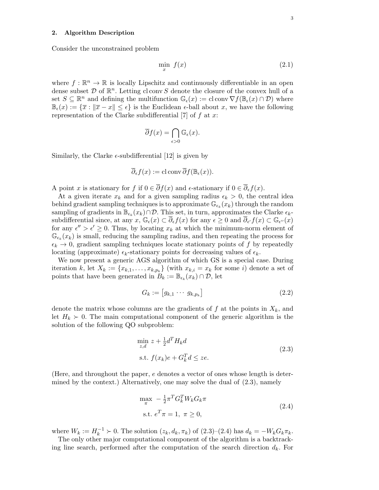# 2. Algorithm Description

Consider the unconstrained problem

$$
\min_{x} f(x) \tag{2.1}
$$

where  $f : \mathbb{R}^n \to \mathbb{R}$  is locally Lipschitz and continuously differentiable in an open dense subset  $D$  of  $\mathbb{R}^n$ . Letting cl conv S denote the closure of the convex hull of a set  $S \subseteq \mathbb{R}^n$  and defining the multifunction  $\mathbb{G}_{\epsilon}(x) := \text{cl} \operatorname{conv} \nabla f(\mathbb{B}_{\epsilon}(x) \cap \mathcal{D})$  where  $\mathbb{B}_{\epsilon}(x) := \{\overline{x} : \|\overline{x} - x\| \leq \epsilon\}$  is the Euclidean  $\epsilon$ -ball about x, we have the following representation of the Clarke subdifferential [7] of  $f$  at  $x$ :

$$
\overline{\partial} f(x) = \bigcap_{\epsilon > 0} \mathbb{G}_{\epsilon}(x).
$$

Similarly, the Clarke  $\epsilon$ -subdifferential [12] is given by

$$
\overline{\partial}_{\epsilon} f(x) := \operatorname{cl} \operatorname{conv} \overline{\partial} f(\mathbb{B}_{\epsilon}(x)).
$$

A point x is stationary for f if  $0 \in \overline{\partial} f(x)$  and  $\epsilon$ -stationary if  $0 \in \overline{\partial}_{\epsilon} f(x)$ .

At a given iterate  $x_k$  and for a given sampling radius  $\epsilon_k > 0$ , the central idea behind gradient sampling techniques is to approximate  $\mathbb{G}_{\epsilon_k}(x_k)$  through the random sampling of gradients in  $\mathbb{B}_{\epsilon_k}(x_k) \cap \mathcal{D}$ . This set, in turn, approximates the Clarke  $\epsilon_k$ subdifferential since, at any  $x, \mathbb{G}_{\epsilon}(x) \subset \overline{\partial}_{\epsilon} f(x)$  for any  $\epsilon \geq 0$  and  $\overline{\partial}_{\epsilon'} f(x) \subset \mathbb{G}_{\epsilon''}(x)$ for any  $\epsilon'' > \epsilon' \geq 0$ . Thus, by locating  $x_k$  at which the minimum-norm element of  $\mathbb{G}_{\epsilon_k}(x_k)$  is small, reducing the sampling radius, and then repeating the process for  $\epsilon_k \to 0$ , gradient sampling techniques locate stationary points of f by repeatedly locating (approximate)  $\epsilon_k$ -stationary points for decreasing values of  $\epsilon_k$ .

We now present a generic AGS algorithm of which GS is a special case. During iteration k, let  $X_k := \{x_{k,1}, \ldots, x_{k,p_k}\}\$  (with  $x_{k,i} = x_k$  for some i) denote a set of points that have been generated in  $B_k := \mathbb{B}_{\epsilon_k}(x_k) \cap \mathcal{D}$ , let

$$
G_k := [g_{k,1} \cdots g_{k,p_k}] \tag{2.2}
$$

denote the matrix whose columns are the gradients of  $f$  at the points in  $X_k$ , and let  $H_k \succ 0$ . The main computational component of the generic algorithm is the solution of the following QO subproblem:

$$
\min_{z,d} z + \frac{1}{2}d^T H_k d
$$
  
s.t.  $f(x_k)e + G_k^T d \le ze$ . (2.3)

(Here, and throughout the paper, e denotes a vector of ones whose length is determined by the context.) Alternatively, one may solve the dual of  $(2.3)$ , namely

$$
\max_{\pi} -\frac{1}{2}\pi^T G_k^T W_k G_k \pi
$$
  
s.t.  $e^T \pi = 1, \ \pi \ge 0,$  (2.4)

where  $W_k := H_k^{-1} \succ 0$ . The solution  $(z_k, d_k, \pi_k)$  of  $(2.3)-(2.4)$  has  $d_k = -W_k G_k \pi_k$ .

The only other major computational component of the algorithm is a backtracking line search, performed after the computation of the search direction  $d_k$ . For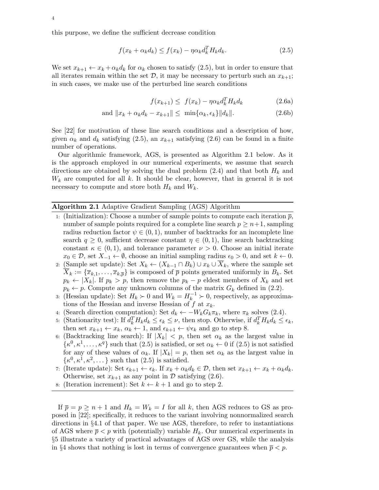this purpose, we define the sufficient decrease condition

$$
f(x_k + \alpha_k d_k) \le f(x_k) - \eta \alpha_k d_k^T H_k d_k. \tag{2.5}
$$

We set  $x_{k+1} \leftarrow x_k + \alpha_k d_k$  for  $\alpha_k$  chosen to satisfy (2.5), but in order to ensure that all iterates remain within the set  $\mathcal{D}$ , it may be necessary to perturb such an  $x_{k+1}$ ; in such cases, we make use of the perturbed line search conditions

$$
f(x_{k+1}) \leq f(x_k) - \eta \alpha_k d_k^T H_k d_k \tag{2.6a}
$$

$$
\text{and } \|x_k + \alpha_k d_k - x_{k+1}\| \le \min\{\alpha_k, \epsilon_k\} \|d_k\|. \tag{2.6b}
$$

See [22] for motivation of these line search conditions and a description of how, given  $\alpha_k$  and  $d_k$  satisfying (2.5), an  $x_{k+1}$  satisfying (2.6) can be found in a finite number of operations.

Our algorithmic framework, AGS, is presented as Algorithm 2.1 below. As it is the approach employed in our numerical experiments, we assume that search directions are obtained by solving the dual problem  $(2.4)$  and that both  $H_k$  and  $W_k$  are computed for all k. It should be clear, however, that in general it is not necessary to compute and store both  $H_k$  and  $W_k$ .

# Algorithm 2.1 Adaptive Gradient Sampling (AGS) Algorithm

- 1: (Initialization): Choose a number of sample points to compute each iteration  $\bar{p}$ , number of sample points required for a complete line search  $p \geq n+1$ , sampling radius reduction factor  $\psi \in (0, 1)$ , number of backtracks for an incomplete line search  $q \geq 0$ , sufficient decrease constant  $\eta \in (0,1)$ , line search backtracking constant  $\kappa \in (0,1)$ , and tolerance parameter  $\nu > 0$ . Choose an initial iterate  $x_0 \in \mathcal{D}$ , set  $X_{-1} \leftarrow \emptyset$ , choose an initial sampling radius  $\epsilon_0 > 0$ , and set  $k \leftarrow 0$ .
- 2: (Sample set update): Set  $X_k \leftarrow (X_{k-1} \cap B_k) \cup x_k \cup \overline{X}_k$ , where the sample set  $\overline{X}_k := \{\overline{x}_{k,1}, \ldots, \overline{x}_{k,\overline{p}}\}$  is composed of  $\overline{p}$  points generated uniformly in  $B_k$ . Set  $p_k \leftarrow |X_k|$ . If  $p_k > p$ , then remove the  $p_k - p$  eldest members of  $X_k$  and set  $p_k \leftarrow p$ . Compute any unknown columns of the matrix  $G_k$  defined in (2.2).
- 3: (Hessian update): Set  $H_k \succ 0$  and  $W_k = H_k^{-1} \succ 0$ , respectively, as approximations of the Hessian and inverse Hessian of  $f$  at  $x_k$ .
- 4: (Search direction computation): Set  $d_k \leftarrow -W_k G_k \pi_k$ , where  $\pi_k$  solves (2.4).
- 5: (Stationarity test): If  $d_k^T H_k d_k \leq \epsilon_k \leq \nu$ , then stop. Otherwise, if  $d_k^T H_k d_k \leq \epsilon_k$ , then set  $x_{k+1} \leftarrow x_k$ ,  $\alpha_k \leftarrow 1$ , and  $\epsilon_{k+1} \leftarrow \psi \epsilon_k$  and go to step 8.
- 6: (Backtracking line search): If  $|X_k| < p$ , then set  $\alpha_k$  as the largest value in  $\{\kappa^0, \kappa^1, \ldots, \kappa^q\}$  such that  $(2.5)$  is satisfied, or set  $\alpha_k \leftarrow 0$  if  $(2.5)$  is not satisfied for any of these values of  $\alpha_k$ . If  $|X_k| = p$ , then set  $\alpha_k$  as the largest value in  $\{\kappa^0, \kappa^1, \kappa^2, \dots\}$  such that  $(2.5)$  is satisfied.
- 7: (Iterate update): Set  $\epsilon_{k+1} \leftarrow \epsilon_k$ . If  $x_k + \alpha_k d_k \in \mathcal{D}$ , then set  $x_{k+1} \leftarrow x_k + \alpha_k d_k$ . Otherwise, set  $x_{k+1}$  as any point in  $\mathcal D$  satisfying (2.6).
- 8: (Iteration increment): Set  $k \leftarrow k+1$  and go to step 2.

If  $\bar{p} = p \ge n + 1$  and  $H_k = W_k = I$  for all k, then AGS reduces to GS as proposed in [22]; specifically, it reduces to the variant involving nonnormalized search directions in §4.1 of that paper. We use AGS, therefore, to refer to instantiations of AGS where  $\bar{p}$  < p with (potentially) variable  $H_k$ . Our numerical experiments in §5 illustrate a variety of practical advantages of AGS over GS, while the analysis in §4 shows that nothing is lost in terms of convergence guarantees when  $\bar{p} < p$ .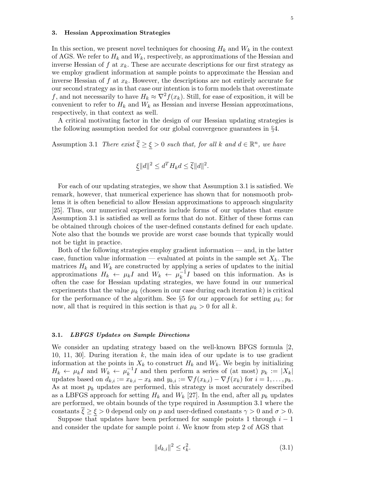#### 3. Hessian Approximation Strategies

In this section, we present novel techniques for choosing  $H_k$  and  $W_k$  in the context of AGS. We refer to  $H_k$  and  $W_k$ , respectively, as approximations of the Hessian and inverse Hessian of f at  $x_k$ . These are accurate descriptions for our first strategy as we employ gradient information at sample points to approximate the Hessian and inverse Hessian of f at  $x_k$ . However, the descriptions are not entirely accurate for our second strategy as in that case our intention is to form models that overestimate f, and not necessarily to have  $H_k \approx \nabla^2 f(x_k)$ . Still, for ease of exposition, it will be convenient to refer to  $H_k$  and  $W_k$  as Hessian and inverse Hessian approximations, respectively, in that context as well.

A critical motivating factor in the design of our Hessian updating strategies is the following assumption needed for our global convergence guarantees in §4.

Assumption 3.1 There exist  $\overline{\xi} \geq \xi > 0$  such that, for all k and  $d \in \mathbb{R}^n$ , we have

$$
\xi \|d\|^2 \le d^T H_k d \le \overline{\xi} \|d\|^2.
$$

For each of our updating strategies, we show that Assumption 3.1 is satisfied. We remark, however, that numerical experience has shown that for nonsmooth problems it is often beneficial to allow Hessian approximations to approach singularity [25]. Thus, our numerical experiments include forms of our updates that ensure Assumption 3.1 is satisfied as well as forms that do not. Either of these forms can be obtained through choices of the user-defined constants defined for each update. Note also that the bounds we provide are worst case bounds that typically would not be tight in practice.

Both of the following strategies employ gradient information — and, in the latter case, function value information — evaluated at points in the sample set  $X_k$ . The matrices  $H_k$  and  $W_k$  are constructed by applying a series of updates to the initial approximations  $H_k \nleftarrow \mu_k I$  and  $W_k \nleftarrow \mu_k^{-1}$  $k^{-1}I$  based on this information. As is often the case for Hessian updating strategies, we have found in our numerical experiments that the value  $\mu_k$  (chosen in our case during each iteration k) is critical for the performance of the algorithm. See §5 for our approach for setting  $\mu_k$ ; for now, all that is required in this section is that  $\mu_k > 0$  for all k.

#### 3.1. LBFGS Updates on Sample Directions

We consider an updating strategy based on the well-known BFGS formula [2, 10, 11, 30. During iteration  $k$ , the main idea of our update is to use gradient information at the points in  $X_k$  to construct  $H_k$  and  $W_k$ . We begin by initializing  $H_k \leftarrow \mu_k I$  and  $W_k \leftarrow \mu_k^{-1}$  $k^{-1}I$  and then perform a series of (at most)  $p_k := |X_k|$ updates based on  $d_{k,i} := x_{k,i} - x_k$  and  $y_{k,i} := \nabla f(x_{k,i}) - \nabla f(x_k)$  for  $i = 1, \ldots, p_k$ . As at most  $p_k$  updates are performed, this strategy is most accurately described as a LBFGS approach for setting  $H_k$  and  $W_k$  [27]. In the end, after all  $p_k$  updates are performed, we obtain bounds of the type required in Assumption 3.1 where the constants  $\xi \geq \xi > 0$  depend only on p and user-defined constants  $\gamma > 0$  and  $\sigma > 0$ .

Suppose that updates have been performed for sample points 1 through  $i-1$ and consider the update for sample point  $i$ . We know from step 2 of AGS that

$$
||d_{k,i}||^2 \le \epsilon_k^2. \tag{3.1}
$$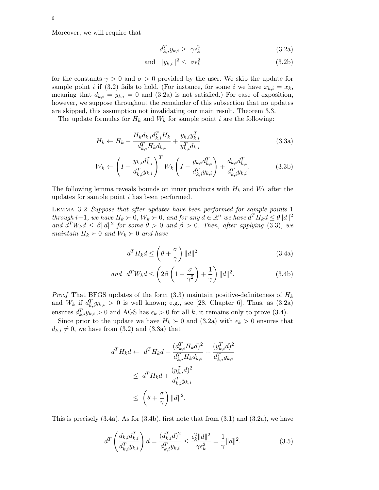Moreover, we will require that

$$
d_{k,i}^T y_{k,i} \geq \gamma \epsilon_k^2 \tag{3.2a}
$$

and 
$$
||y_{k,i}||^2 \leq \sigma \epsilon_k^2
$$
 (3.2b)

for the constants  $\gamma > 0$  and  $\sigma > 0$  provided by the user. We skip the update for sample point i if (3.2) fails to hold. (For instance, for some i we have  $x_{k,i} = x_k$ , meaning that  $d_{k,i} = y_{k,i} = 0$  and (3.2a) is not satisfied.) For ease of exposition, however, we suppose throughout the remainder of this subsection that no updates are skipped, this assumption not invalidating our main result, Theorem 3.3.

The update formulas for  $H_k$  and  $W_k$  for sample point i are the following:

$$
H_k \leftarrow H_k - \frac{H_k d_{k,i} d_{k,i}^T H_k}{d_{k,i}^T H_k d_{k,i}} + \frac{y_{k,i} y_{k,i}^T}{y_{k,i}^T d_{k,i}} \tag{3.3a}
$$

$$
W_k \leftarrow \left(I - \frac{y_{k,i}d_{k,i}^T}{d_{k,i}^T y_{k,i}}\right)^T W_k \left(I - \frac{y_{k,i}d_{k,i}^T}{d_{k,i}^T y_{k,i}}\right) + \frac{d_{k,i}d_{k,i}^T}{d_{k,i}^T y_{k,i}}.
$$
(3.3b)

The following lemma reveals bounds on inner products with  $H_k$  and  $W_k$  after the updates for sample point i has been performed.

Lemma 3.2 Suppose that after updates have been performed for sample points 1 through i – 1, we have  $H_k \succ 0$ ,  $W_k \succ 0$ , and for any  $d \in \mathbb{R}^n$  we have  $d^T \hat{H}_k d \leq \theta ||d||^2$ and  $d^T W_k d \leq \beta ||d||^2$  for some  $\theta > 0$  and  $\beta > 0$ . Then, after applying (3.3), we maintain  $H_k \succ 0$  and  $W_k \succ 0$  and have

$$
d^T H_k d \le \left(\theta + \frac{\sigma}{\gamma}\right) ||d||^2 \tag{3.4a}
$$

and 
$$
d^T W_k d \le \left(2\beta \left(1 + \frac{\sigma}{\gamma^2}\right) + \frac{1}{\gamma}\right) ||d||^2.
$$
 (3.4b)

*Proof* That BFGS updates of the form  $(3.3)$  maintain positive-definiteness of  $H_k$ and  $W_k$  if  $d_{k,i}^T y_{k,i} > 0$  is well known; e.g., see [28, Chapter 6]. Thus, as (3.2a) ensures  $d_{k,i}^T y_{k,i} > 0$  and AGS has  $\epsilon_k > 0$  for all k, it remains only to prove (3.4).

Since prior to the update we have  $H_k \succ 0$  and  $(3.2a)$  with  $\epsilon_k > 0$  ensures that  $d_{k,i} \neq 0$ , we have from  $(3.2)$  and  $(3.3a)$  that

$$
d^T H_k d \leftarrow d^T H_k d - \frac{(d_{k,i}^T H_k d)^2}{d_{k,i}^T H_k d_{k,i}} + \frac{(y_{k,i}^T d)^2}{d_{k,i}^T y_{k,i}} \n\leq d^T H_k d + \frac{(y_{k,i}^T d)^2}{d_{k,i}^T y_{k,i}} \n\leq \left(\theta + \frac{\sigma}{\gamma}\right) ||d||^2.
$$

This is precisely  $(3.4a)$ . As for  $(3.4b)$ , first note that from  $(3.1)$  and  $(3.2a)$ , we have

$$
d^T \left( \frac{d_{k,i} d_{k,i}^T}{d_{k,i}^T y_{k,i}} \right) d = \frac{(d_{k,i}^T d)^2}{d_{k,i}^T y_{k,i}} \le \frac{\epsilon_k^2 ||d||^2}{\gamma \epsilon_k^2} = \frac{1}{\gamma} ||d||^2. \tag{3.5}
$$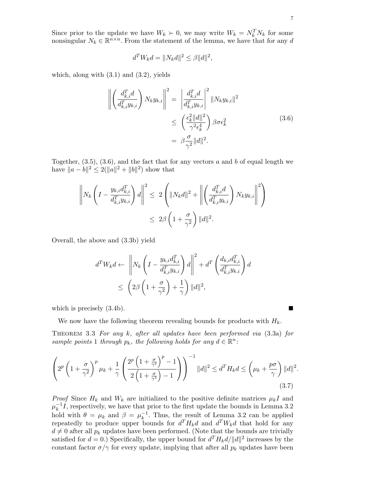Since prior to the update we have  $W_k \succ 0$ , we may write  $W_k = N_k^T N_k$  for some nonsingular  $N_k \in \mathbb{R}^{n \times n}$ . From the statement of the lemma, we have that for any d

$$
d^T W_k d = ||N_k d||^2 \le \beta ||d||^2,
$$

which, along with  $(3.1)$  and  $(3.2)$ , yields

$$
\left\| \left( \frac{d_{k,i}^T d}{d_{k,i}^T y_{k,i}} \right) N_k y_{k,i} \right\|^2 = \left| \frac{d_{k,i}^T d}{d_{k,i}^T y_{k,i}} \right|^2 \|N_k y_{k,i}\|^2
$$
  

$$
\leq \left( \frac{\epsilon_k^2 \|d\|^2}{\gamma^2 \epsilon_k^4} \right) \beta \sigma \epsilon_k^2
$$
  

$$
= \beta \frac{\sigma}{\gamma^2} \|d\|^2.
$$
 (3.6)

Together,  $(3.5)$ ,  $(3.6)$ , and the fact that for any vectors a and b of equal length we have  $||a - b||^2 \leq 2(||a||^2 + ||b||^2)$  show that

$$
\left\| N_k \left( I - \frac{y_{k,i} d_{k,i}^T}{d_{k,i}^T y_{k,i}} \right) d \right\|^2 \leq 2 \left( \| N_k d \|^2 + \left\| \left( \frac{d_{k,i}^T d}{d_{k,i}^T y_{k,i}} \right) N_k y_{k,i} \right\|^2 \right) \leq 2\beta \left( 1 + \frac{\sigma}{\gamma^2} \right) \| d \|^2.
$$

Overall, the above and (3.3b) yield

$$
d^T W_k d \leftarrow \left\| N_k \left( I - \frac{y_{k,i} d_{k,i}^T}{d_{k,i}^T y_{k,i}} \right) d \right\|^2 + d^T \left( \frac{d_{k,i} d_{k,i}^T}{d_{k,i}^T y_{k,i}} \right) d
$$
  

$$
\leq \left( 2\beta \left( 1 + \frac{\sigma}{\gamma^2} \right) + \frac{1}{\gamma} \right) \|d\|^2,
$$

which is precisely (3.4b).

We now have the following theorem revealing bounds for products with  $H_k$ .

Theorem 3.3 For any k, after all updates have been performed via (3.3a) for sample points 1 through  $p_k$ , the following holds for any  $d \in \mathbb{R}^n$ :

$$
\left(2^{p}\left(1+\frac{\sigma}{\gamma^{2}}\right)^{p}\mu_{k}+\frac{1}{\gamma}\left(\frac{2^{p}\left(1+\frac{\sigma}{\gamma^{2}}\right)^{p}-1}{2\left(1+\frac{\sigma}{\gamma^{2}}\right)-1}\right)\right)^{-1}||d||^{2} \leq d^{T}H_{k}d \leq \left(\mu_{k}+\frac{p\sigma}{\gamma}\right)||d||^{2}.
$$
\n(3.7)

*Proof* Since  $H_k$  and  $W_k$  are initialized to the positive definite matrices  $\mu_k I$  and  $\mu_k^{-1}$  $k^{-1}I$ , respectively, we have that prior to the first update the bounds in Lemma 3.2 hold with  $\theta = \mu_k$  and  $\beta = \mu_k^{-1}$  $\kappa^{-1}$ . Thus, the result of Lemma 3.2 can be applied repeatedly to produce upper bounds for  $d^T H_k d$  and  $d^T W_k d$  that hold for any  $d \neq 0$  after all  $p_k$  updates have been performed. (Note that the bounds are trivially satisfied for  $d = 0$ .) Specifically, the upper bound for  $d^T H_k d / ||d||^2$  increases by the constant factor  $\sigma/\gamma$  for every update, implying that after all  $p_k$  updates have been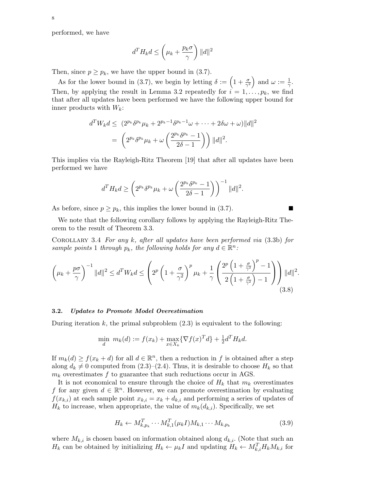performed, we have

$$
d^T H_k d \le \left(\mu_k + \frac{p_k \sigma}{\gamma}\right) ||d||^2
$$

Then, since  $p \geq p_k$ , we have the upper bound in (3.7).

As for the lower bound in (3.7), we begin by letting  $\delta := \left(1 + \frac{\sigma}{\gamma^2}\right)$  and  $\omega := \frac{1}{\gamma}$ . Then, by applying the result in Lemma 3.2 repeatedly for  $i = 1, \ldots, p_k$ , we find that after all updates have been performed we have the following upper bound for inner products with  $W_k$ :

$$
d^T W_k d \leq (2^{p_k} \delta^{p_k} \mu_k + 2^{p_k - 1} \delta^{p_k - 1} \omega + \dots + 2 \delta \omega + \omega) ||d||^2
$$
  
= 
$$
\left( 2^{p_k} \delta^{p_k} \mu_k + \omega \left( \frac{2^{p_k} \delta^{p_k} - 1}{2 \delta - 1} \right) \right) ||d||^2.
$$

This implies via the Rayleigh-Ritz Theorem [19] that after all updates have been performed we have

$$
d^TH_kd\geq \left(2^{p_k}\delta^{p_k}\mu_k+\omega\left(\frac{2^{p_k}\delta^{p_k}-1}{2\delta-1}\right)\right)^{-1}\|d\|^2.
$$

As before, since  $p \geq p_k$ , this implies the lower bound in (3.7).

We note that the following corollary follows by applying the Rayleigh-Ritz Theorem to the result of Theorem 3.3.

Corollary 3.4 For any k, after all updates have been performed via (3.3b) for sample points 1 through  $p_k$ , the following holds for any  $d \in \mathbb{R}^n$ :

$$
\left(\mu_k + \frac{p\sigma}{\gamma}\right)^{-1} \|d\|^2 \le d^T W_k d \le \left(2^p \left(1 + \frac{\sigma}{\gamma^2}\right)^p \mu_k + \frac{1}{\gamma} \left(\frac{2^p \left(1 + \frac{\sigma}{\gamma^2}\right)^p - 1}{2\left(1 + \frac{\sigma}{\gamma^2}\right) - 1}\right)\right) \|d\|^2. \tag{3.8}
$$

#### 3.2. Updates to Promote Model Overestimation

During iteration k, the primal subproblem  $(2.3)$  is equivalent to the following:

$$
\min_{d} m_k(d) := f(x_k) + \max_{x \in X_k} \{ \nabla f(x)^T d \} + \frac{1}{2} d^T H_k d.
$$

If  $m_k(d) \ge f(x_k + d)$  for all  $d \in \mathbb{R}^n$ , then a reduction in f is obtained after a step along  $d_k \neq 0$  computed from (2.3)–(2.4). Thus, it is desirable to choose  $H_k$  so that  $m_k$  overestimates f to guarantee that such reductions occur in AGS.

It is not economical to ensure through the choice of  $H_k$  that  $m_k$  overestimates f for any given  $d \in \mathbb{R}^n$ . However, we can promote overestimation by evaluating  $f(x_{k,i})$  at each sample point  $x_{k,i} = x_k + d_{k,i}$  and performing a series of updates of  $H_k$  to increase, when appropriate, the value of  $m_k(d_{k,i})$ . Specifically, we set

$$
H_k \leftarrow M_{k, p_k}^T \cdots M_{k, 1}^T (\mu_k I) M_{k, 1} \cdots M_{k, p_k}
$$
\n(3.9)

where  $M_{k,i}$  is chosen based on information obtained along  $d_{k,i}$ . (Note that such an  $H_k$  can be obtained by initializing  $H_k \leftarrow \mu_k I$  and updating  $H_k \leftarrow M_{k,i}^T H_k M_{k,i}$  for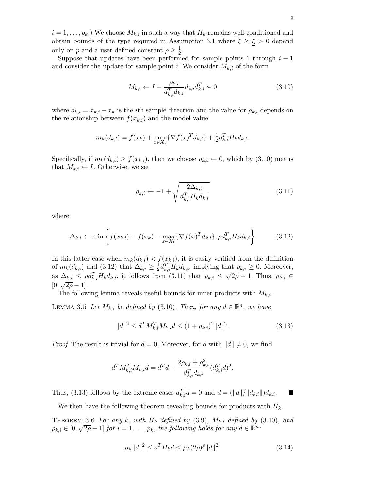$i = 1, \ldots, p_k$ .) We choose  $M_{k,i}$  in such a way that  $H_k$  remains well-conditioned and obtain bounds of the type required in Assumption 3.1 where  $\xi \geq \xi > 0$  depend only on p and a user-defined constant  $\rho \geq \frac{1}{2}$  $\frac{1}{2}$ .

Suppose that updates have been performed for sample points 1 through  $i - 1$ and consider the update for sample point i. We consider  $M_{k,i}$  of the form

$$
M_{k,i} \leftarrow I + \frac{\rho_{k,i}}{d_{k,i}^T d_{k,i}} d_{k,i} d_{k,i}^T \succ 0
$$
\n(3.10)

where  $d_{k,i} = x_{k,i} - x_k$  is the *i*th sample direction and the value for  $\rho_{k,i}$  depends on the relationship between  $f(x_{k,i})$  and the model value

$$
m_k(d_{k,i}) = f(x_k) + \max_{x \in X_k} \{ \nabla f(x)^T d_{k,i} \} + \frac{1}{2} d_{k,i}^T H_k d_{k,i}.
$$

Specifically, if  $m_k(d_{k,i}) \ge f(x_{k,i})$ , then we choose  $\rho_{k,i} \leftarrow 0$ , which by (3.10) means that  $M_{k,i} \leftarrow I$ . Otherwise, we set

$$
\rho_{k,i} \leftarrow -1 + \sqrt{\frac{2\Delta_{k,i}}{d_{k,i}^T H_k d_{k,i}}}
$$
\n(3.11)

where

$$
\Delta_{k,i} \leftarrow \min \left\{ f(x_{k,i}) - f(x_k) - \max_{x \in X_k} \{ \nabla f(x)^T d_{k,i} \}, \rho d_{k,i}^T H_k d_{k,i} \right\}.
$$
 (3.12)

In this latter case when  $m_k(d_{k,i}) < f(x_{k,i})$ , it is easily verified from the definition of  $m_k(d_{k,i})$  and (3.12) that  $\Delta_{k,i} \geq \frac{1}{2}$  $\frac{1}{2} d_{k,i}^T H_k d_{k,i}$ , implying that  $\rho_{k,i} \geq 0$ . Moreover, as  $\Delta_{k,i} \leq \rho d_{k,i}^T H_k d_{k,i}$ , it follows from (3.11) that  $\rho_{k,i} \leq \sqrt{2\rho} - 1$ . Thus,  $\rho_{k,i} \in$  $[0, \sqrt{2\rho} - 1].$ 

The following lemma reveals useful bounds for inner products with  $M_{k,i}$ .

LEMMA 3.5 Let  $M_{k,i}$  be defined by (3.10). Then, for any  $d \in \mathbb{R}^n$ , we have

$$
||d||^2 \le d^T M_{k,i}^T M_{k,i} d \le (1 + \rho_{k,i})^2 ||d||^2.
$$
\n(3.13)

*Proof* The result is trivial for  $d = 0$ . Moreover, for d with  $||d|| \neq 0$ , we find

$$
d^T M_{k,i}^T M_{k,i} d = d^T d + \frac{2\rho_{k,i} + \rho_{k,i}^2}{d_{k,i}^T d_{k,i}} (d_{k,i}^T d)^2.
$$

Thus, (3.13) follows by the extreme cases  $d_{k,i}^T d = 0$  and  $d = (||d||/||d_{k,i}||)d_{k,i}$ .

We then have the following theorem revealing bounds for products with  $H_k$ .

THEOREM 3.6 For any k, with  $H_k$  defined by (3.9),  $M_{k,i}$  defined by (3.10), and  $\rho_{k,i} \in [0, \sqrt{2\rho} - 1]$  for  $i = 1, \ldots, p_k$ , the following holds for any  $d \in \mathbb{R}^n$ .

$$
\mu_k \|d\|^2 \le d^T H_k d \le \mu_k (2\rho)^p \|d\|^2. \tag{3.14}
$$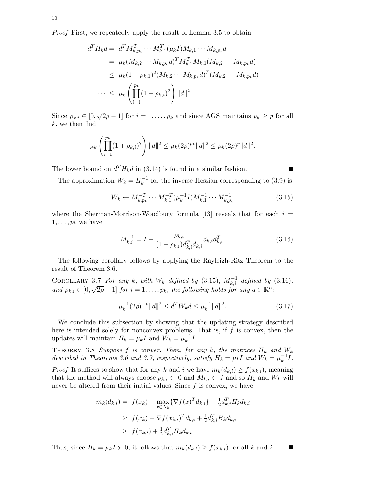Proof First, we repeatedly apply the result of Lemma 3.5 to obtain

$$
d^T H_k d = d^T M_{k, p_k}^T \cdots M_{k, 1}^T (\mu_k I) M_{k, 1} \cdots M_{k, p_k} d
$$
  
=  $\mu_k (M_{k, 2} \cdots M_{k, p_k} d)^T M_{k, 1}^T M_{k, 1} (M_{k, 2} \cdots M_{k, p_k} d)$   
 $\leq \mu_k (1 + \rho_{k, 1})^2 (M_{k, 2} \cdots M_{k, p_k} d)^T (M_{k, 2} \cdots M_{k, p_k} d)$   
 $\cdots \leq \mu_k \left( \prod_{i=1}^{p_k} (1 + \rho_{k, i})^2 \right) ||d||^2.$ 

Since  $\rho_{k,i} \in [0, \sqrt{2\rho} - 1]$  for  $i = 1, \ldots, p_k$  and since AGS maintains  $p_k \ge p$  for all  $k$ , we then find

$$
\mu_k \left( \prod_{i=1}^{p_k} (1 + \rho_{k,i})^2 \right) ||d||^2 \leq \mu_k(2\rho)^{p_k} ||d||^2 \leq \mu_k(2\rho)^p ||d||^2.
$$

The lower bound on  $d^T H_k d$  in (3.14) is found in a similar fashion.

The approximation  $W_k = H_k^{-1}$  $\frac{f^{-1}}{k}$  for the inverse Hessian corresponding to (3.9) is

$$
W_k \leftarrow M_{k, p_k}^{-T} \cdots M_{k, 1}^{-T} (\mu_k^{-1} I) M_{k, 1}^{-1} \cdots M_{k, p_k}^{-1}
$$
 (3.15)

where the Sherman-Morrison-Woodbury formula [13] reveals that for each  $i =$  $1, \ldots, p_k$  we have

$$
M_{k,i}^{-1} = I - \frac{\rho_{k,i}}{(1 + \rho_{k,i})d_{k,i}^T d_{k,i}} d_{k,i} d_{k,i}^T.
$$
 (3.16)

The following corollary follows by applying the Rayleigh-Ritz Theorem to the result of Theorem 3.6.

COROLLARY 3.7 For any k, with  $W_k$  defined by (3.15),  $M_{k,i}^{-1}$  defined by (3.16), and  $\rho_{k,i} \in [0, \sqrt{2\rho} - 1]$  for  $i = 1, \ldots, p_k$ , the following holds for any  $d \in \mathbb{R}^n$ .

$$
\mu_k^{-1}(2\rho)^{-p}||d||^2 \le d^T W_k d \le \mu_k^{-1}||d||^2. \tag{3.17}
$$

We conclude this subsection by showing that the updating strategy described here is intended solely for nonconvex problems. That is, if  $f$  is convex, then the updates will maintain  $H_k = \mu_k I$  and  $\overline{W}_k = \mu_k^{-1}$  $\overline{k}^{\perp}I.$ 

THEOREM 3.8 Suppose f is convex. Then, for any k, the matrices  $H_k$  and  $W_k$ described in Theorems 3.6 and 3.7, respectively, satisfy  $H_k = \mu_k I$  and  $W_k = \mu_k^{-1}$  $\overline{k}^{\perp}I.$ 

*Proof* It suffices to show that for any k and i we have  $m_k(d_{k,i}) \ge f(x_{k,i})$ , meaning that the method will always choose  $\rho_{k,i} \leftarrow 0$  and  $M_{k,i} \leftarrow I$  and so  $H_k$  and  $W_k$  will never be altered from their initial values. Since  $f$  is convex, we have

$$
m_k(d_{k,i}) = f(x_k) + \max_{x \in X_k} {\nabla f(x)^T d_{k,i}} + \frac{1}{2} d_{k,i}^T H_k d_{k,i}
$$
  
\n
$$
\geq f(x_k) + \nabla f(x_{k,i})^T d_{k,i} + \frac{1}{2} d_{k,i}^T H_k d_{k,i}
$$
  
\n
$$
\geq f(x_{k,i}) + \frac{1}{2} d_{k,i}^T H_k d_{k,i}.
$$

Thus, since  $H_k = \mu_k I \succ 0$ , it follows that  $m_k(d_{k,i}) \ge f(x_{k,i})$  for all k and i.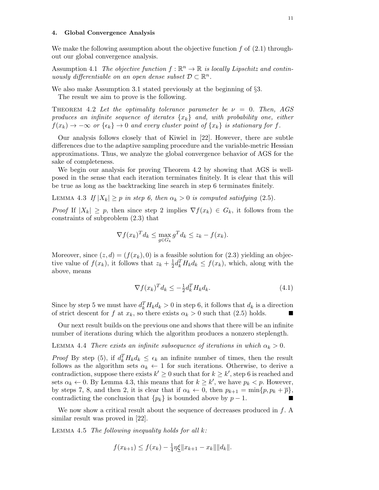## 4. Global Convergence Analysis

We make the following assumption about the objective function f of  $(2.1)$  throughout our global convergence analysis.

Assumption 4.1 The objective function  $f : \mathbb{R}^n \to \mathbb{R}$  is locally Lipschitz and continuously differentiable on an open dense subset  $D \subset \mathbb{R}^n$ .

We also make Assumption 3.1 stated previously at the beginning of §3.

The result we aim to prove is the following.

THEOREM 4.2 Let the optimality tolerance parameter be  $\nu = 0$ . Then, AGS produces an infinite sequence of iterates  $\{x_k\}$  and, with probability one, either  $f(x_k) \to -\infty$  or  $\{\epsilon_k\} \to 0$  and every cluster point of  $\{x_k\}$  is stationary for f.

Our analysis follows closely that of Kiwiel in [22]. However, there are subtle differences due to the adaptive sampling procedure and the variable-metric Hessian approximations. Thus, we analyze the global convergence behavior of AGS for the sake of completeness.

We begin our analysis for proving Theorem 4.2 by showing that AGS is wellposed in the sense that each iteration terminates finitely. It is clear that this will be true as long as the backtracking line search in step 6 terminates finitely.

LEMMA 4.3 If  $|X_k| \geq p$  in step 6, then  $\alpha_k > 0$  is computed satisfying (2.5).

*Proof* If  $|X_k| \geq p$ , then since step 2 implies  $\nabla f(x_k) \in G_k$ , it follows from the constraints of subproblem (2.3) that

$$
\nabla f(x_k)^T d_k \leq \max_{g \in G_k} g^T d_k \leq z_k - f(x_k).
$$

Moreover, since  $(z, d) = (f(x_k), 0)$  is a feasible solution for (2.3) yielding an objective value of  $f(x_k)$ , it follows that  $z_k + \frac{1}{2}$  $\frac{1}{2}d_k^TH_kd_k \leq f(x_k)$ , which, along with the above, means

$$
\nabla f(x_k)^T d_k \le -\frac{1}{2} d_k^T H_k d_k. \tag{4.1}
$$

Since by step 5 we must have  $d_k^T H_k d_k > 0$  in step 6, it follows that  $d_k$  is a direction of strict descent for f at  $x_k$ , so there exists  $\alpha_k > 0$  such that (2.5) holds.

Our next result builds on the previous one and shows that there will be an infinite number of iterations during which the algorithm produces a nonzero steplength.

LEMMA 4.4 There exists an infinite subsequence of iterations in which  $\alpha_k > 0$ .

*Proof* By step (5), if  $d_k^T H_k d_k \leq \epsilon_k$  an infinite number of times, then the result follows as the algorithm sets  $\alpha_k \leftarrow 1$  for such iterations. Otherwise, to derive a contradiction, suppose there exists  $k' \geq 0$  such that for  $k \geq k'$ , step 6 is reached and sets  $\alpha_k \leftarrow 0$ . By Lemma 4.3, this means that for  $k \geq k'$ , we have  $p_k < p$ . However, by steps 7, 8, and then 2, it is clear that if  $\alpha_k \leftarrow 0$ , then  $p_{k+1} = \min\{p, p_k + \overline{p}\}\,$ contradicting the conclusion that  $\{p_k\}$  is bounded above by  $p-1$ .

We now show a critical result about the sequence of decreases produced in f. A similar result was proved in [22].

LEMMA 4.5 The following inequality holds for all  $k$ :

$$
f(x_{k+1}) \le f(x_k) - \frac{1}{4} \eta \underline{\xi} \| x_{k+1} - x_k \| \| d_k \|.
$$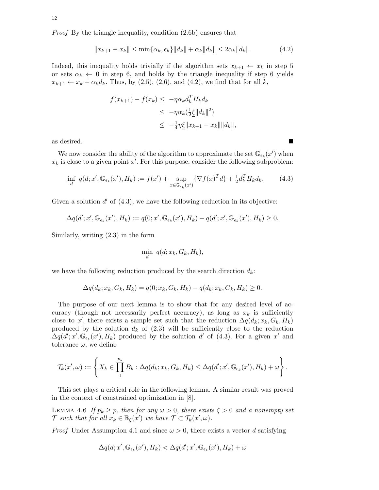Proof By the triangle inequality, condition (2.6b) ensures that

$$
||x_{k+1} - x_k|| \le \min\{\alpha_k, \epsilon_k\} ||d_k|| + \alpha_k ||d_k|| \le 2\alpha_k ||d_k||. \tag{4.2}
$$

Indeed, this inequality holds trivially if the algorithm sets  $x_{k+1} \leftarrow x_k$  in step 5 or sets  $\alpha_k \leftarrow 0$  in step 6, and holds by the triangle inequality if step 6 yields  $x_{k+1} \leftarrow x_k + \alpha_k d_k$ . Thus, by (2.5), (2.6), and (4.2), we find that for all k,

$$
f(x_{k+1}) - f(x_k) \le -\eta \alpha_k d_k^T H_k d_k
$$
  
\n
$$
\le -\eta \alpha_k (\frac{1}{2} \xi ||d_k||^2)
$$
  
\n
$$
\le -\frac{1}{4} \eta \xi ||x_{k+1} - x_k|| ||d_k||,
$$

as desired.

We now consider the ability of the algorithm to approximate the set  $\mathbb{G}_{\epsilon_k}(x')$  when  $x_k$  is close to a given point  $x'$ . For this purpose, consider the following subproblem:

$$
\inf_{d} q(d; x', \mathbb{G}_{\epsilon_k}(x'), H_k) := f(x') + \sup_{x \in \mathbb{G}_{\epsilon_k}(x')} \{ \nabla f(x)^T d \} + \frac{1}{2} d_k^T H_k d_k. \tag{4.3}
$$

Given a solution  $d'$  of  $(4.3)$ , we have the following reduction in its objective:

$$
\Delta q(d';x',\mathbb{G}_{\epsilon_k}(x'),H_k) := q(0;x',\mathbb{G}_{\epsilon_k}(x'),H_k) - q(d';x',\mathbb{G}_{\epsilon_k}(x'),H_k) \geq 0.
$$

Similarly, writing (2.3) in the form

$$
\min_{d} q(d; x_k, G_k, H_k),
$$

we have the following reduction produced by the search direction  $d_k$ :

$$
\Delta q(d_k; x_k, G_k, H_k) = q(0; x_k, G_k, H_k) - q(d_k; x_k, G_k, H_k) \ge 0.
$$

The purpose of our next lemma is to show that for any desired level of accuracy (though not necessarily perfect accuracy), as long as  $x_k$  is sufficiently close to x', there exists a sample set such that the reduction  $\Delta q(d_k; x_k, G_k, H_k)$ produced by the solution  $d_k$  of (2.3) will be sufficiently close to the reduction  $\Delta q(d'; x', \mathbb{G}_{\epsilon_k}(x'), H_k)$  produced by the solution d' of (4.3). For a given  $x'$  and tolerance  $\omega$ , we define

$$
\mathcal{T}_k(x',\omega) := \left\{ X_k \in \prod_1^{p_k} B_k : \Delta q(d_k; x_k, G_k, H_k) \leq \Delta q(d'; x', \mathbb{G}_{\epsilon_k}(x'), H_k) + \omega \right\}.
$$

This set plays a critical role in the following lemma. A similar result was proved in the context of constrained optimization in [8].

LEMMA 4.6 If  $p_k \geq p$ , then for any  $\omega > 0$ , there exists  $\zeta > 0$  and a nonempty set T such that for all  $x_k \in \mathbb{B}_{\zeta}(x')$  we have  $\mathcal{T} \subset \mathcal{T}_k(x', \omega)$ .

*Proof* Under Assumption 4.1 and since  $\omega > 0$ , there exists a vector d satisfying

$$
\Delta q(d; x', \mathbb{G}_{\epsilon_k}(x'), H_k) < \Delta q(d'; x', \mathbb{G}_{\epsilon_k}(x'), H_k) + \omega
$$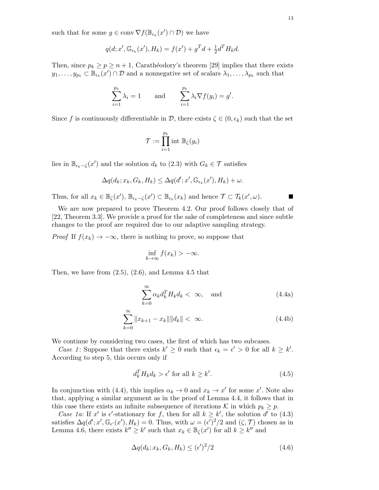such that for some  $g \in \text{conv }\nabla f(\mathbb{B}_{\epsilon_k}(x') \cap \mathcal{D})$  we have

$$
q(d; x', \mathbb{G}_{\epsilon_k}(x'), H_k) = f(x') + g^T d + \frac{1}{2} d^T H_k d.
$$

Then, since  $p_k \geq p \geq n+1$ , Carathéodory's theorem [29] implies that there exists  $y_1,\ldots,y_{p_k}\subset\mathbb{B}_{\epsilon_k}(x')\cap\mathcal{D}$  and a nonnegative set of scalars  $\lambda_1,\ldots,\lambda_{p_k}$  such that

$$
\sum_{i=1}^{p_k} \lambda_i = 1 \quad \text{and} \quad \sum_{i=1}^{p_k} \lambda_i \nabla f(y_i) = g'.
$$

Since f is continuously differentiable in D, there exists  $\zeta \in (0, \epsilon_k)$  such that the set

$$
\mathcal{T} := \prod_{i=1}^{p_k} \text{int } \mathbb{B}_{\zeta}(y_i)
$$

lies in  $\mathbb{B}_{\epsilon_k-\zeta}(x')$  and the solution  $d_k$  to (2.3) with  $G_k \in \mathcal{T}$  satisfies

$$
\Delta q(d_k; x_k, G_k, H_k) \leq \Delta q(d'; x', \mathbb{G}_{\epsilon_k}(x'), H_k) + \omega.
$$

Thus, for all  $x_k \in \mathbb{B}_{\zeta}(x')$ ,  $\mathbb{B}_{\epsilon_k-\zeta}(x') \subset \mathbb{B}_{\epsilon_k}(x_k)$  and hence  $\mathcal{T} \subset \mathcal{T}_k(x',\omega)$ .

We are now prepared to prove Theorem 4.2. Our proof follows closely that of [22, Theorem 3.3]. We provide a proof for the sake of completeness and since subtle changes to the proof are required due to our adaptive sampling strategy.

*Proof* If  $f(x_k) \to -\infty$ , there is nothing to prove, so suppose that

$$
\inf_{k \to \infty} f(x_k) > -\infty.
$$

Then, we have from  $(2.5)$ ,  $(2.6)$ , and Lemma 4.5 that

$$
\sum_{k=0}^{\infty} \alpha_k d_k^T H_k d_k < \infty, \quad \text{and} \tag{4.4a}
$$

$$
\sum_{k=0}^{\infty} \|x_{k+1} - x_k\| \|d_k\| < \infty. \tag{4.4b}
$$

We continue by considering two cases, the first of which has two subcases.

Case 1: Suppose that there exists  $k' \geq 0$  such that  $\epsilon_k = \epsilon' > 0$  for all  $k \geq k'$ . According to step 5, this occurs only if

$$
d_k^T H_k d_k > \epsilon' \text{ for all } k \ge k'.\tag{4.5}
$$

In conjunction with (4.4), this implies  $\alpha_k \to 0$  and  $x_k \to x'$  for some x'. Note also that, applying a similar argument as in the proof of Lemma 4.4, it follows that in this case there exists an infinite subsequence of iterations K in which  $p_k \geq p$ .

Case 1a: If x' is  $\epsilon'$ -stationary for f, then for all  $k \geq k'$ , the solution d' to (4.3) satisfies  $\Delta q(d'; x', \mathbb{G}_{\epsilon}(x'), H_k) = 0$ . Thus, with  $\omega = (\epsilon')^2/2$  and  $(\zeta, \mathcal{T})$  chosen as in Lemma 4.6, there exists  $k'' \geq k'$  such that  $x_k \in \mathbb{B}_{\zeta}(x')$  for all  $k \geq k''$  and

$$
\Delta q(d_k; x_k, G_k, H_k) \le (\epsilon')^2/2 \tag{4.6}
$$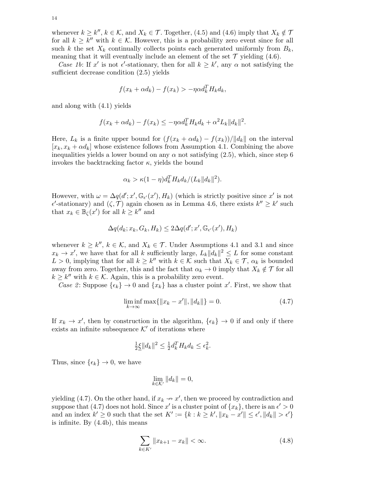whenever  $k \geq k''$ ,  $k \in \mathcal{K}$ , and  $X_k \in \mathcal{T}$ . Together, (4.5) and (4.6) imply that  $X_k \notin \mathcal{T}$ for all  $k \geq k''$  with  $k \in \mathcal{K}$ . However, this is a probability zero event since for all such k the set  $X_k$  continually collects points each generated uniformly from  $B_k$ , meaning that it will eventually include an element of the set  $\mathcal T$  yielding (4.6).

Case 1b: If x' is not  $\epsilon'$ -stationary, then for all  $k \geq k'$ , any  $\alpha$  not satisfying the sufficient decrease condition (2.5) yields

$$
f(x_k + \alpha d_k) - f(x_k) > -\eta \alpha d_k^T H_k d_k,
$$

and along with (4.1) yields

$$
f(x_k + \alpha d_k) - f(x_k) \leq -\eta \alpha d_k^T H_k d_k + \alpha^2 L_k \|d_k\|^2.
$$

Here,  $L_k$  is a finite upper bound for  $(f(x_k + \alpha d_k) - f(x_k))/||d_k||$  on the interval  $[x_k, x_k + \alpha d_k]$  whose existence follows from Assumption 4.1. Combining the above inequalities yields a lower bound on any  $\alpha$  not satisfying (2.5), which, since step 6 invokes the backtracking factor  $\kappa$ , yields the bound

$$
\alpha_k > \kappa(1-\eta)d_k^T H_k d_k / (L_k ||d_k||^2).
$$

However, with  $\omega = \Delta q(d'; x', \mathbb{G}_{\epsilon'}(x'), H_k)$  (which is strictly positive since  $x'$  is not  $\epsilon'$ -stationary) and  $(\zeta, \mathcal{T})$  again chosen as in Lemma 4.6, there exists  $k'' \geq k'$  such that  $x_k \in \mathbb{B}_{\zeta}(x')$  for all  $k \geq k''$  and

$$
\Delta q(d_k; x_k, G_k, H_k) \leq 2\Delta q(d'; x', \mathbb{G}_{\epsilon'}(x'), H_k)
$$

whenever  $k \geq k''$ ,  $k \in \mathcal{K}$ , and  $X_k \in \mathcal{T}$ . Under Assumptions 4.1 and 3.1 and since  $x_k \to x'$ , we have that for all k sufficiently large,  $L_k ||d_k||^2 \leq L$  for some constant  $L > 0$ , implying that for all  $k \geq k''$  with  $k \in \mathcal{K}$  such that  $X_k \in \mathcal{T}$ ,  $\alpha_k$  is bounded away from zero. Together, this and the fact that  $\alpha_k \to 0$  imply that  $X_k \notin \mathcal{T}$  for all  $k \geq k''$  with  $k \in \mathcal{K}$ . Again, this is a probability zero event.

*Case 2*: Suppose  $\{\epsilon_k\} \to 0$  and  $\{x_k\}$  has a cluster point x'. First, we show that

$$
\liminf_{k \to \infty} \max\{\|x_k - x'\|, \|d_k\|\} = 0. \tag{4.7}
$$

If  $x_k \to x'$ , then by construction in the algorithm,  $\{\epsilon_k\} \to 0$  if and only if there exists an infinite subsequence  $K'$  of iterations where

$$
\frac{1}{2}\underline{\xi}\|d_k\|^2 \le \frac{1}{2}d_k^T H_k d_k \le \epsilon_k^2.
$$

Thus, since  $\{\epsilon_k\} \to 0$ , we have

$$
\lim_{k \in \mathcal{K}'} \|d_k\| = 0,
$$

yielding (4.7). On the other hand, if  $x_k \to x'$ , then we proceed by contradiction and suppose that (4.7) does not hold. Since  $x'$  is a cluster point of  $\{x_k\}$ , there is an  $\epsilon' > 0$ and an index  $k' \geq 0$  such that the set  $K' := \{k : k \geq k', ||x_k - x'|| \leq \epsilon', ||d_k|| > \epsilon'\}$ is infinite. By (4.4b), this means

$$
\sum_{k \in K'} \|x_{k+1} - x_k\| < \infty. \tag{4.8}
$$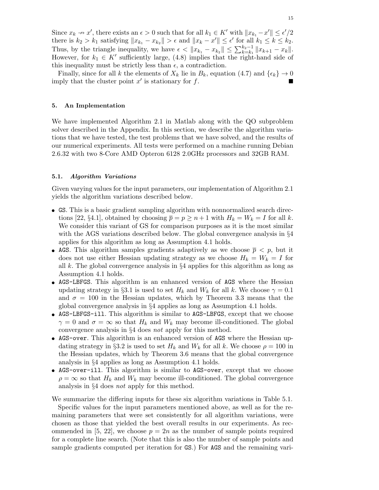Since  $x_k \to x'$ , there exists an  $\epsilon > 0$  such that for all  $k_1 \in K'$  with  $||x_{k_1} - x'|| \leq \epsilon'/2$ there is  $k_2 > k_1$  satisfying  $||x_{k_1} - x_{k_2}|| > \epsilon$  and  $||x_k - x'|| \leq \epsilon'$  for all  $k_1 \leq k \leq k_2$ . Thus, by the triangle inequality, we have  $\epsilon < ||x_{k_1} - x_{k_2}|| \le \sum_{k=k_1}^{k_2-1} ||x_{k+1} - x_k||$ . However, for  $k_1 \in K'$  sufficiently large, (4.8) implies that the right-hand side of this inequality must be strictly less than  $\epsilon$ , a contradiction.

Finally, since for all k the elements of  $X_k$  lie in  $B_k$ , equation (4.7) and  $\{\epsilon_k\} \to 0$ imply that the cluster point  $x'$  is stationary for f.

#### 5. An Implementation

We have implemented Algorithm 2.1 in Matlab along with the QO subproblem solver described in the Appendix. In this section, we describe the algorithm variations that we have tested, the test problems that we have solved, and the results of our numerical experiments. All tests were performed on a machine running Debian 2.6.32 with two 8-Core AMD Opteron 6128 2.0GHz processors and 32GB RAM.

# 5.1. Algorithm Variations

Given varying values for the input parameters, our implementation of Algorithm 2.1 yields the algorithm variations described below.

- GS. This is a basic gradient sampling algorithm with nonnormalized search directions [22, §4.1], obtained by choosing  $\overline{p} = p \ge n+1$  with  $H_k = W_k = I$  for all k. We consider this variant of GS for comparison purposes as it is the most similar with the AGS variations described below. The global convergence analysis in §4 applies for this algorithm as long as Assumption 4.1 holds.
- AGS. This algorithm samples gradients adaptively as we choose  $\bar{p} < p$ , but it does not use either Hessian updating strategy as we choose  $H_k = W_k = I$  for all k. The global convergence analysis in  $\S 4$  applies for this algorithm as long as Assumption 4.1 holds.
- AGS-LBFGS. This algorithm is an enhanced version of AGS where the Hessian updating strategy in §3.1 is used to set  $H_k$  and  $W_k$  for all k. We choose  $\gamma = 0.1$ and  $\sigma = 100$  in the Hessian updates, which by Theorem 3.3 means that the global convergence analysis in §4 applies as long as Assumption 4.1 holds.
- AGS-LBFGS-ill. This algorithm is similar to AGS-LBFGS, except that we choose  $\gamma = 0$  and  $\sigma = \infty$  so that  $H_k$  and  $W_k$  may become ill-conditioned. The global convergence analysis in §4 does not apply for this method.
- AGS-over. This algorithm is an enhanced version of AGS where the Hessian updating strategy in §3.2 is used to set  $H_k$  and  $W_k$  for all k. We choose  $\rho = 100$  in the Hessian updates, which by Theorem 3.6 means that the global convergence analysis in §4 applies as long as Assumption 4.1 holds.
- AGS-over-ill. This algorithm is similar to AGS-over, except that we choose  $\rho = \infty$  so that  $H_k$  and  $W_k$  may become ill-conditioned. The global convergence analysis in §4 does not apply for this method.

We summarize the differing inputs for these six algorithm variations in Table 5.1. Specific values for the input parameters mentioned above, as well as for the remaining parameters that were set consistently for all algorithm variations, were chosen as those that yielded the best overall results in our experiments. As recommended in [5, 22], we choose  $p = 2n$  as the number of sample points required for a complete line search. (Note that this is also the number of sample points and sample gradients computed per iteration for GS.) For AGS and the remaining vari-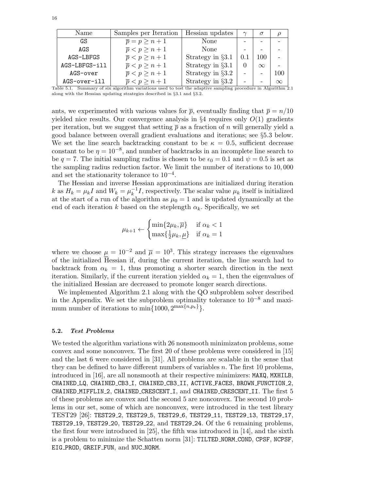| Name          | Samples per Iteration         | Hessian updates      | $\sim$ | $\sigma$ |          |
|---------------|-------------------------------|----------------------|--------|----------|----------|
| GS            | $\overline{p} = p \geq n+1$   | None                 |        |          |          |
| AGS           | $\overline{p} < p \geq n+1$   | None                 |        |          |          |
| AGS-LBFGS     | $\overline{p} < p \geq n+1$   | Strategy in $\S 3.1$ |        | 100      |          |
| AGS-LBFGS-ill | $\overline{p}$ < $p \geq n+1$ | Strategy in $\S 3.1$ |        | $\infty$ |          |
| AGS-over      | $\overline{p} < p \geq n+1$   | Strategy in $\S 3.2$ |        |          | 100      |
| AGS-over-ill  | $\overline{p} < p \geq n+1$   | Strategy in $\S 3.2$ |        | -        | $\infty$ |

Table 5.1. Summary of six algorithm variations used to test the adaptive sampling procedure in Algorithm 2.1 along with the Hessian updating strategies described in §3.1 and §3.2.

ants, we experimented with various values for  $\bar{p}$ , eventually finding that  $\bar{p} = n/10$ yielded nice results. Our convergence analysis in  $\S4$  requires only  $O(1)$  gradients per iteration, but we suggest that setting  $\bar{p}$  as a fraction of n will generally yield a good balance between overall gradient evaluations and iterations; see §5.3 below. We set the line search backtracking constant to be  $\kappa = 0.5$ , sufficient decrease constant to be  $\eta = 10^{-8}$ , and number of backtracks in an incomplete line search to be  $q = 7$ . The initial sampling radius is chosen to be  $\epsilon_0 = 0.1$  and  $\psi = 0.5$  is set as the sampling radius reduction factor. We limit the number of iterations to 10, 000 and set the stationarity tolerance to  $10^{-4}$ .

The Hessian and inverse Hessian approximations are initialized during iteration k as  $H_k = \mu_k I$  and  $W_k = \mu_k^{-1}$  $k^{-1}I$ , respectively. The scalar value  $\mu_k$  itself is initialized at the start of a run of the algorithm as  $\mu_0 = 1$  and is updated dynamically at the end of each iteration k based on the steplength  $\alpha_k$ . Specifically, we set

$$
\mu_{k+1} \leftarrow \begin{cases} \min\{2\mu_k, \overline{\mu}\} & \text{if } \alpha_k < 1\\ \max\{\frac{1}{2}\mu_k, \underline{\mu}\} & \text{if } \alpha_k = 1 \end{cases}
$$

where we choose  $\mu = 10^{-2}$  and  $\bar{\mu} = 10^{3}$ . This strategy increases the eigenvalues of the initialized Hessian if, during the current iteration, the line search had to backtrack from  $\alpha_k = 1$ , thus promoting a shorter search direction in the next iteration. Similarly, if the current iteration yielded  $\alpha_k = 1$ , then the eigenvalues of the initialized Hessian are decreased to promote longer search directions.

We implemented Algorithm 2.1 along with the QO subproblem solver described in the Appendix. We set the subproblem optimality tolerance to  $10^{-8}$  and maximum number of iterations to  $\min\{1000, 2^{\max\{n, p_k\}}\}.$ 

#### 5.2. Test Problems

We tested the algorithm variations with 26 nonsmooth minimizaton problems, some convex and some nonconvex. The first 20 of these problems were considered in [15] and the last 6 were considered in [31]. All problems are scalable in the sense that they can be defined to have different numbers of variables n. The first 10 problems, introduced in [16], are all nonsmooth at their respective minimizers: MAXQ, MXHILB, CHAINED LQ, CHAINED CB3 I, CHAINED CB3 II, ACTIVE FACES, BROWN FUNCTION 2, CHAINED\_MIFFLIN\_2, CHAINED\_CRESCENT\_I, and CHAINED\_CRESCENT\_II. The first 5 of these problems are convex and the second 5 are nonconvex. The second 10 problems in our set, some of which are nonconvex, were introduced in the test library TEST29 [26]: TEST29 2, TEST29 5, TEST29 6, TEST29 11, TEST29 13, TEST29 17, TEST29 19, TEST29 20, TEST29 22, and TEST29 24. Of the 6 remaining problems, the first four were introduced in [25], the fifth was introduced in [14], and the sixth is a problem to minimize the Schatten norm [31]: TILTED NORM COND, CPSF, NCPSF, EIG\_PROD, GREIF\_FUN, and NUC\_NORM.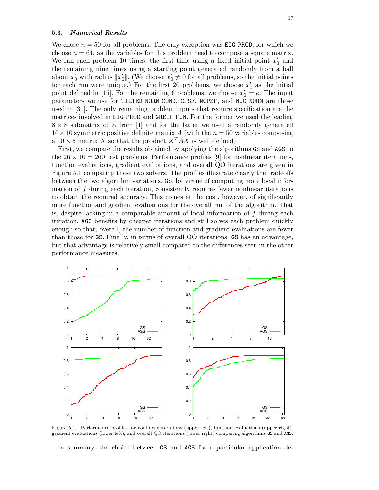#### 5.3. Numerical Results

We chose  $n = 50$  for all problems. The only exception was **EIG\_PROD**, for which we choose  $n = 64$ , as the variables for this problem need to compose a square matrix. We ran each problem 10 times, the first time using a fixed initial point  $x'_0$  and the remaining nine times using a starting point generated randomly from a ball about  $x'_0$  with radius  $||x'_0||$ . (We choose  $x'_0 \neq 0$  for all problems, so the initial points for each run were unique.) For the first 20 problems, we choose  $x'_0$  as the initial point defined in [15]. For the remaining 6 problems, we choose  $x'_0 = e$ . The input parameters we use for TILTED NORM COND, CPSF, NCPSF, and NUC NORM are those used in [31]. The only remaining problem inputs that require specification are the matrices involved in EIG PROD and GREIF FUN. For the former we used the leading  $8 \times 8$  submatrix of A from [1] and for the latter we used a randomly generated  $10 \times 10$  symmetric positive definite matrix A (with the  $n = 50$  variables composing a  $10 \times 5$  matrix X so that the product  $X^T A X$  is well defined).

First, we compare the results obtained by applying the algorithms GS and AGS to the  $26 \times 10 = 260$  test problems. Performance profiles [9] for nonlinear iterations, function evaluations, gradient evaluations, and overall QO iterations are given in Figure 5.1 comparing these two solvers. The profiles illustrate clearly the tradeoffs between the two algorithm variations. GS, by virtue of computing more local information of f during each iteration, consistently requires fewer nonlinear iterations to obtain the required accuracy. This comes at the cost, however, of significantly more function and gradient evaluations for the overall run of the algorithm. That is, despite lacking in a comparable amount of local information of  $f$  during each iteration, AGS benefits by cheaper iterations and still solves each problem quickly enough so that, overall, the number of function and gradient evaluations are fewer than those for GS. Finally, in terms of overall QO iterations, GS has an advantage, but that advantage is relatively small compared to the differences seen in the other performance measures.



Figure 5.1. Performance profiles for nonlinear iterations (upper left), function evaluations (upper right), gradient evaluations (lower left), and overall QO iterations (lower right) comparing algorithms GS and AGS.

In summary, the choice between GS and AGS for a particular application de-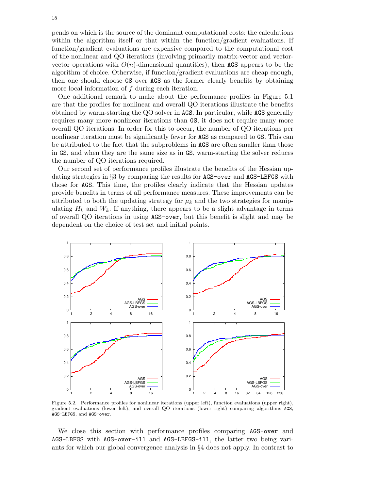pends on which is the source of the dominant computational costs: the calculations within the algorithm itself or that within the function/gradient evaluations. If function/gradient evaluations are expensive compared to the computational cost of the nonlinear and QO iterations (involving primarily matrix-vector and vectorvector operations with  $O(n)$ -dimensional quantities), then AGS appears to be the algorithm of choice. Otherwise, if function/gradient evaluations are cheap enough, then one should choose GS over AGS as the former clearly benefits by obtaining more local information of  $f$  during each iteration.

One additional remark to make about the performance profiles in Figure 5.1 are that the profiles for nonlinear and overall QO iterations illustrate the benefits obtained by warm-starting the QO solver in AGS. In particular, while AGS generally requires many more nonlinear iterations than GS, it does not require many more overall QO iterations. In order for this to occur, the number of QO iterations per nonlinear iteration must be significantly fewer for AGS as compared to GS. This can be attributed to the fact that the subproblems in AGS are often smaller than those in GS, and when they are the same size as in GS, warm-starting the solver reduces the number of QO iterations required.

Our second set of performance profiles illustrate the benefits of the Hessian updating strategies in §3 by comparing the results for AGS-over and AGS-LBFGS with those for AGS. This time, the profiles clearly indicate that the Hessian updates provide benefits in terms of all performance measures. These improvements can be attributed to both the updating strategy for  $\mu_k$  and the two strategies for manipulating  $H_k$  and  $W_k$ . If anything, there appears to be a slight advantage in terms of overall QO iterations in using AGS-over, but this benefit is slight and may be dependent on the choice of test set and initial points.



Figure 5.2. Performance profiles for nonlinear iterations (upper left), function evaluations (upper right), gradient evaluations (lower left), and overall QO iterations (lower right) comparing algorithms AGS, AGS-LBFGS, and AGS-over.

We close this section with performance profiles comparing AGS-over and AGS-LBFGS with AGS-over-ill and AGS-LBFGS-ill, the latter two being variants for which our global convergence analysis in §4 does not apply. In contrast to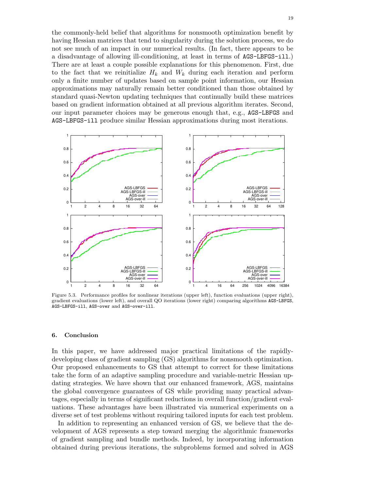the commonly-held belief that algorithms for nonsmooth optimization benefit by having Hessian matrices that tend to singularity during the solution process, we do not see much of an impact in our numerical results. (In fact, there appears to be a disadvantage of allowing ill-conditioning, at least in terms of AGS-LBFGS-ill.) There are at least a couple possible explanations for this phenomenon. First, due to the fact that we reinitialize  $H_k$  and  $W_k$  during each iteration and perform only a finite number of updates based on sample point information, our Hessian approximations may naturally remain better conditioned than those obtained by standard quasi-Newton updating techniques that continually build these matrices based on gradient information obtained at all previous algorithm iterates. Second, our input parameter choices may be generous enough that, e.g., AGS-LBFGS and AGS-LBFGS-ill produce similar Hessian approximations during most iterations.



Figure 5.3. Performance profiles for nonlinear iterations (upper left), function evaluations (upper right), gradient evaluations (lower left), and overall QO iterations (lower right) comparing algorithms AGS-LBFGS, AGS-LBFGS-ill, AGS-over and AGS-over-ill.

## 6. Conclusion

In this paper, we have addressed major practical limitations of the rapidlydeveloping class of gradient sampling (GS) algorithms for nonsmooth optimization. Our proposed enhancements to GS that attempt to correct for these limitations take the form of an adaptive sampling procedure and variable-metric Hessian updating strategies. We have shown that our enhanced framework, AGS, maintains the global convergence guarantees of GS while providing many practical advantages, especially in terms of significant reductions in overall function/gradient evaluations. These advantages have been illustrated via numerical experiments on a diverse set of test problems without requiring tailored inputs for each test problem.

In addition to representing an enhanced version of GS, we believe that the development of AGS represents a step toward merging the algorithmic frameworks of gradient sampling and bundle methods. Indeed, by incorporating information obtained during previous iterations, the subproblems formed and solved in AGS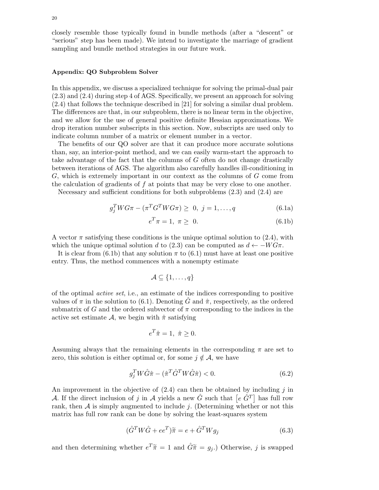closely resemble those typically found in bundle methods (after a "descent" or "serious" step has been made). We intend to investigate the marriage of gradient sampling and bundle method strategies in our future work.

# Appendix: QO Subproblem Solver

In this appendix, we discuss a specialized technique for solving the primal-dual pair (2.3) and (2.4) during step 4 of AGS. Specifically, we present an approach for solving (2.4) that follows the technique described in [21] for solving a similar dual problem. The differences are that, in our subproblem, there is no linear term in the objective, and we allow for the use of general positive definite Hessian approximations. We drop iteration number subscripts in this section. Now, subscripts are used only to indicate column number of a matrix or element number in a vector.

The benefits of our QO solver are that it can produce more accurate solutions than, say, an interior-point method, and we can easily warm-start the approach to take advantage of the fact that the columns of G often do not change drastically between iterations of AGS. The algorithm also carefully handles ill-conditioning in  $G$ , which is extremely important in our context as the columns of  $G$  come from the calculation of gradients of  $f$  at points that may be very close to one another.

Necessary and sufficient conditions for both subproblems  $(2.3)$  and  $(2.4)$  are

$$
g_j^T W G \pi - (\pi^T G^T W G \pi) \geq 0, \ j = 1, \dots, q \tag{6.1a}
$$

$$
e^T \pi = 1, \ \pi \geq 0. \tag{6.1b}
$$

A vector  $\pi$  satisfying these conditions is the unique optimal solution to (2.4), with which the unique optimal solution d to (2.3) can be computed as  $d \leftarrow -WG\pi$ .

It is clear from (6.1b) that any solution  $\pi$  to (6.1) must have at least one positive entry. Thus, the method commences with a nonempty estimate

$$
\mathcal{A} \subseteq \{1, \ldots, q\}
$$

of the optimal active set, i.e., an estimate of the indices corresponding to positive values of  $\pi$  in the solution to (6.1). Denoting  $\tilde{G}$  and  $\hat{\pi}$ , respectively, as the ordered submatrix of G and the ordered subvector of  $\pi$  corresponding to the indices in the active set estimate  $\mathcal{A}$ , we begin with  $\hat{\pi}$  satisfying

$$
e^T \hat{\pi} = 1, \ \hat{\pi} \ge 0.
$$

Assuming always that the remaining elements in the corresponding  $\pi$  are set to zero, this solution is either optimal or, for some  $j \notin A$ , we have

$$
g_j^T W \hat{G} \hat{\pi} - (\hat{\pi}^T \hat{G}^T W \hat{G} \hat{\pi}) < 0. \tag{6.2}
$$

An improvement in the objective of  $(2.4)$  can then be obtained by including j in A. If the direct inclusion of j in A yields a new  $\hat{G}$  such that  $\left[e \hat{G}^T\right]$  has full row rank, then  $A$  is simply augmented to include j. (Determining whether or not this matrix has full row rank can be done by solving the least-squares system

$$
(\hat{G}^T W \hat{G} + ee^T) \tilde{\pi} = e + \hat{G}^T W g_j \tag{6.3}
$$

and then determining whether  $e^T \tilde{\pi} = 1$  and  $\hat{G}\tilde{\pi} = g_j$ .) Otherwise, j is swapped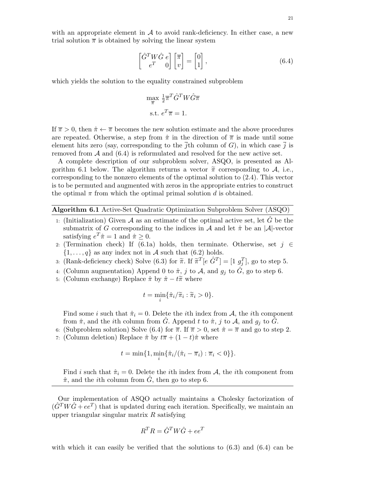with an appropriate element in  $\mathcal A$  to avoid rank-deficiency. In either case, a new trial solution  $\bar{\pi}$  is obtained by solving the linear system

$$
\begin{bmatrix} \hat{G}^T W \hat{G} e \\ e^T & 0 \end{bmatrix} \begin{bmatrix} \overline{\pi} \\ v \end{bmatrix} = \begin{bmatrix} 0 \\ 1 \end{bmatrix}, \tag{6.4}
$$

which yields the solution to the equality constrained subproblem

$$
\max_{\overline{\pi}} \frac{1}{2} \overline{\pi}^T \hat{G}^T W \hat{G} \overline{\pi}
$$
  
s.t.  $e^T \overline{\pi} = 1$ .

If  $\overline{\pi} > 0$ , then  $\hat{\pi} \leftarrow \overline{\pi}$  becomes the new solution estimate and the above procedures are repeated. Otherwise, a step from  $\hat{\pi}$  in the direction of  $\overline{\pi}$  is made until some element hits zero (say, corresponding to the jth column of  $G$ ), in which case j is removed from  $A$  and  $(6.4)$  is reformulated and resolved for the new active set.

A complete description of our subproblem solver, ASQO, is presented as Algorithm 6.1 below. The algorithm returns a vector  $\tilde{\pi}$  corresponding to A, i.e., corresponding to the nonzero elements of the optimal solution to (2.4). This vector is to be permuted and augmented with zeros in the appropriate entries to construct the optimal  $\pi$  from which the optimal primal solution d is obtained.

Algorithm 6.1 Active-Set Quadratic Optimization Subproblem Solver (ASQO)

- 1: (Initialization) Given  $A$  as an estimate of the optimal active set, let G be the submatrix of G corresponding to the indices in A and let  $\hat{\pi}$  be an |A|-vector satisfying  $e^T \hat{\pi} = 1$  and  $\hat{\pi} \geq 0$ .
- 2: (Termination check) If (6.1a) holds, then terminate. Otherwise, set  $j \in$  $\{1,\ldots,q\}$  as any index not in A such that (6.2) holds.
- 3: (Rank-deficiency check) Solve (6.3) for  $\tilde{\pi}$ . If  $\tilde{\pi}^T[e \hat{G}^T] = [1 \ g_j^T]$ , go to step 5.
- 4: (Column augmentation) Append 0 to  $\hat{\pi}$ , j to  $\hat{\mathcal{A}}$ , and  $g_j$  to  $\hat{G}$ , go to step 6.
- 5: (Column exchange) Replace  $\hat{\pi}$  by  $\hat{\pi} t\tilde{\pi}$  where

$$
t = \min_i \{ \hat{\pi}_i / \widetilde{\pi}_i : \widetilde{\pi}_i > 0 \}.
$$

Find some i such that  $\hat{\pi}_i = 0$ . Delete the ith index from A, the ith component from  $\hat{\pi}$ , and the *i*th column from G. Append t to  $\hat{\pi}$ , j to A, and  $g_i$  to G.

6: (Subproblem solution) Solve (6.4) for  $\bar{\pi}$ . If  $\bar{\pi} > 0$ , set  $\hat{\pi} = \bar{\pi}$  and go to step 2. 7: (Column deletion) Replace  $\hat{\pi}$  by  $t\overline{\pi} + (1-t)\hat{\pi}$  where

$$
t = \min\{1, \min_i\{\hat{\pi}_i/(\hat{\pi}_i - \overline{\pi}_i) : \overline{\pi}_i < 0\}\}.
$$

Find i such that  $\hat{\pi}_i = 0$ . Delete the ith index from A, the ith component from  $\hat{\pi}$ , and the *i*th column from G, then go to step 6.

Our implementation of ASQO actually maintains a Cholesky factorization of  $(\hat{G}^T W \hat{G} + ee^T)$  that is updated during each iteration. Specifically, we maintain an upper triangular singular matrix  $R$  satisfying

$$
R^T R = \hat{G}^T W \hat{G} + e e^T
$$

with which it can easily be verified that the solutions to  $(6.3)$  and  $(6.4)$  can be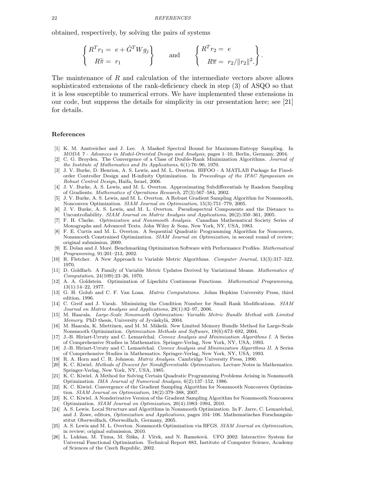obtained, respectively, by solving the pairs of systems

$$
\begin{Bmatrix} R^T r_1 = e + \hat{G}^T W g_j \\ R \tilde{\pi} = r_1 \end{Bmatrix} \quad \text{and} \quad \begin{Bmatrix} R^T r_2 = e \\ R \overline{\pi} = r_2 / ||r_2||^2. \end{Bmatrix}.
$$

The maintenance of R and calculation of the intermediate vectors above allows sophisticated extensions of the rank-deficiency check in step (3) of ASQO so that it is less susceptible to numerical errors. We have implemented these extensions in our code, but suppress the details for simplicity in our presentation here; see [21] for details.

#### References

- [1] K. M. Anstreicher and J. Lee. A Masked Spectral Bound for Maximum-Entropy Sampling. In MODA 7 - Advances in Model-Oriented Design and Analysis, pages 1–10, Berlin, Germany, 2004.
- [2] C. G. Broyden. The Convergence of a Class of Double-Rank Minimization Algorithms. Journal of the Institute of Mathematics and Its Applications, 6(1):76–90, 1970.
- [3] J. V. Burke, D. Henrion, A. S. Lewis, and M. L. Overton. HIFOO A MATLAB Package for Fixedorder Controller Design and H-infinity Optimization. In Proceedings of the IFAC Symposium on Robust Control Design, Haifa, Israel, 2006.
- [4] J. V. Burke, A. S. Lewis, and M. L. Overton. Approximating Subdifferentials by Random Sampling of Gradients. Mathematics of Operations Research, 27(3):567–584, 2002.
- [5] J. V. Burke, A. S. Lewis, and M. L. Overton. A Robust Gradient Sampling Algorithm for Nonsmooth, Nonconvex Optimization. SIAM Journal on Optimization, 15(3):751–779, 2005.
- [6] J. V. Burke, A. S. Lewis, and M. L. Overton. Pseudospectral Components and the Distance to Uncontrollability. SIAM Journal on Matrix Analysis and Applications, 26(2):350–361, 2005.
- [7] F. H. Clarke. Optimization and Nonsmooth Analysis. Canadian Mathematical Society Series of Monographs and Advanced Texts. John Wiley & Sons, New York, NY, USA, 1983.
- [8] F. E. Curtis and M. L. Overton. A Sequential Quadratic Programming Algorithm for Nonconvex, Nonsmooth Constrained Optimization. SIAM Journal on Optimization, in second round of review; original submission, 2009.
- [9] E. Dolan and J. Moré. Benchmarking Optimization Software with Performance Profiles. Mathematical Programming, 91:201–213, 2002.
- [10] R. Fletcher. A New Approach to Variable Metric Algorithms. Computer Journal, 13(3):317–322, 1970.
- [11] D. Goldfarb. A Family of Variable Metric Updates Derived by Variational Means. Mathematics of Computation, 24(109):23–26, 1970.
- [12] A. A. Goldstein. Optimization of Lipschitz Continuous Functions. Mathematical Programming, 13(1):14–22, 1977.
- [13] G. H. Golub and C. F. Van Loan. *Matrix Computations*. Johns Hopkins University Press, third edition, 1996.
- [14] C. Greif and J. Varah. Minimizing the Condition Number for Small Rank Modifications. SIAM Journal on Matrix Analysis and Applications, 29(1):82–97, 2006.
- [15] M. Haarala. Large-Scale Nonsmooth Optimization: Variable Metric Bundle Method with Limited Memory. PhD thesis, University of Jyväskylä, 2004.
- [16] M. Haarala, K. Miettinen, and M. M. Mäkelä. New Limited Memory Bundle Method for Large-Scale Nonsmooth Optimization. Optimization Methods and Software, 19(6):673–692, 2004.
- [17] J.-B. Hiriart-Urruty and C. Lemaréchal. Convex Analysis and Minimization Algorithms I. A Series of Comprehensive Studies in Mathematics. Springer-Verlag, New York, NY, USA, 1993.
- [18] J.-B. Hiriart-Urruty and C. Lemaréchal. Convex Analysis and Minimization Algorithms II. A Series of Comprehensive Studies in Mathematics. Springer-Verlag, New York, NY, USA, 1993.
- [19] R. A. Horn and C. R. Johnson. Matrix Analysis. Cambridge University Press, 1990.
- [20] K. C. Kiwiel. Methods of Descent for Nondifferentiable Optimization. Lecture Notes in Mathematics. Springer-Verlag, New York, NY, USA, 1985.
- [21] K. C. Kiwiel. A Method for Solving Certain Quadratic Programming Problems Arising in Nonsmooth Optimization. IMA Journal of Numerical Analysis, 6(2):137–152, 1986.
- [22] K. C. Kiwiel. Convergence of the Gradient Sampling Algorithm for Nonsmooth Nonconvex Optimization. SIAM Journal on Optimization, 18(2):379–388, 2007.
- [23] K. C. Kiwiel. A Nonderivative Version of the Gradient Sampling Algorithm for Nonsmooth Nonconvex Optimization. SIAM Journal on Optimization, 20(4):1983–1994, 2010.
- [24] A. S. Lewis. Local Structure and Algorithms in Nonsmooth Optimization. In F. Jarre, C. Lemaréchal, and J. Zowe, editors, *Optimization and Applications*, pages 104–106. Mathematisches Forschungsinstitut Oberwolfach, Oberwolfach, Germany, 2005.
- [25] A. S. Lewis and M. L. Overton. Nonsmooth Optimization via BFGS. SIAM Journal on Optimization, in review; original submission, 2010.
- [26] L. Lukšan, M. Tuma, M. Šiška, J. Vlček, and N. Ramešová. UFO 2002: Interactive System for Universal Functional Optimization. Technical Report 883, Institute of Computer Science, Academy of Sciences of the Czech Republic, 2002.